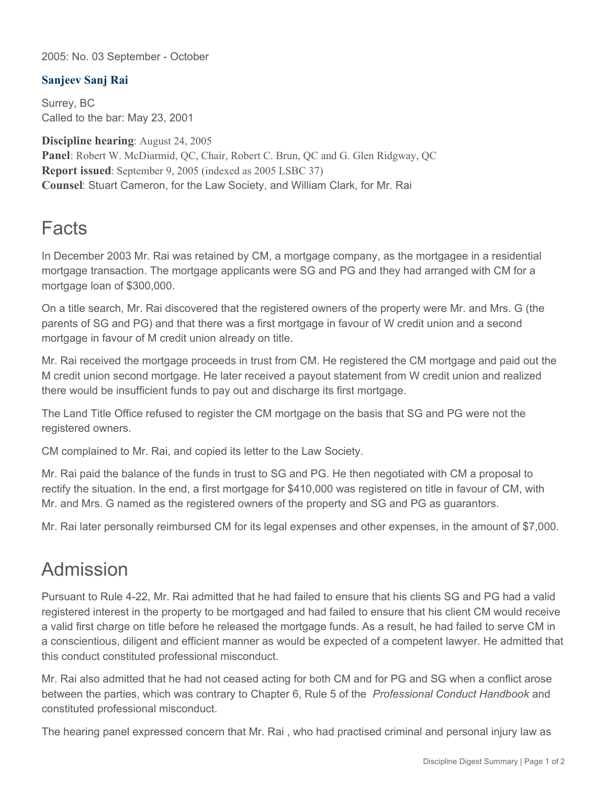2005: No. 03 September - October

## **Sanjeev Sanj Rai**

Surrey, BC Called to the bar: May 23, 2001

**Discipline hearing**: August 24, 2005 **Panel**: Robert W. McDiarmid, QC, Chair, Robert C. Brun, QC and G. Glen Ridgway, QC **Report issued**: September 9, 2005 (indexed as 2005 LSBC 37) **Counsel**: Stuart Cameron, for the Law Society, and William Clark, for Mr. Rai

## **Facts**

In December 2003 Mr. Rai was retained by CM, a mortgage company, as the mortgagee in a residential mortgage transaction. The mortgage applicants were SG and PG and they had arranged with CM for a mortgage loan of \$300,000.

On a title search, Mr. Rai discovered that the registered owners of the property were Mr. and Mrs. G (the parents of SG and PG) and that there was a first mortgage in favour of W credit union and a second mortgage in favour of M credit union already on title.

Mr. Rai received the mortgage proceeds in trust from CM. He registered the CM mortgage and paid out the M credit union second mortgage. He later received a payout statement from W credit union and realized there would be insufficient funds to pay out and discharge its first mortgage.

The Land Title Office refused to register the CM mortgage on the basis that SG and PG were not the registered owners.

CM complained to Mr. Rai, and copied its letter to the Law Society.

Mr. Rai paid the balance of the funds in trust to SG and PG. He then negotiated with CM a proposal to rectify the situation. In the end, a first mortgage for \$410,000 was registered on title in favour of CM, with Mr. and Mrs. G named as the registered owners of the property and SG and PG as guarantors.

Mr. Rai later personally reimbursed CM for its legal expenses and other expenses, in the amount of \$7,000.

## Admission

Pursuant to Rule 4-22, Mr. Rai admitted that he had failed to ensure that his clients SG and PG had a valid registered interest in the property to be mortgaged and had failed to ensure that his client CM would receive a valid first charge on title before he released the mortgage funds. As a result, he had failed to serve CM in a conscientious, diligent and efficient manner as would be expected of a competent lawyer. He admitted that this conduct constituted professional misconduct.

Mr. Rai also admitted that he had not ceased acting for both CM and for PG and SG when a conflict arose between the parties, which was contrary to Chapter 6, Rule 5 of the *Professional Conduct Handbook* and constituted professional misconduct.

The hearing panel expressed concern that Mr. Rai , who had practised criminal and personal injury law as